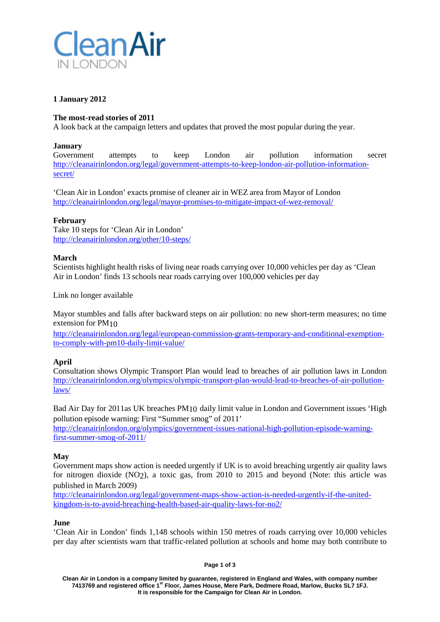

# **1 January 2012**

### **The most-read stories of 2011**

A look back at the campaign letters and updates that proved the most popular during the year.

### **January**

Government attempts to keep London air pollution information secret [http://cleanairinlondon.org/legal/government-attempts-to-keep-london-air-pollution-information](http://cleanairinlondon.org/legal/government-attempts-to-keep-london-air-pollution-information-secret/)[secret/](http://cleanairinlondon.org/legal/government-attempts-to-keep-london-air-pollution-information-secret/)

'Clean Air in London' exacts promise of cleaner air in WEZ area from Mayor of London <http://cleanairinlondon.org/legal/mayor-promises-to-mitigate-impact-of-wez-removal/>

## **February**

Take 10 steps for 'Clean Air in London' <http://cleanairinlondon.org/other/10-steps/>

#### **March**

Scientists highlight health risks of living near roads carrying over 10,000 vehicles per day as 'Clean Air in London' finds 13 schools near roads carrying over 100,000 vehicles per day

Link no longer available

Mayor stumbles and falls after backward steps on air pollution: no new short-term measures; no time extension for PM10

[http://cleanairinlondon.org/legal/european-commission-grants-temporary-and-conditional-exemption](http://cleanairinlondon.org/legal/european-commission-grants-temporary-and-conditional-exemption-to-comply-with-pm10-daily-limit-value/)[to-comply-with-pm10-daily-limit-value/](http://cleanairinlondon.org/legal/european-commission-grants-temporary-and-conditional-exemption-to-comply-with-pm10-daily-limit-value/)

# **April**

Consultation shows Olympic Transport Plan would lead to breaches of air pollution laws in London [http://cleanairinlondon.org/olympics/olympic-transport-plan-would-lead-to-breaches-of-air-pollution](http://cleanairinlondon.org/olympics/olympic-transport-plan-would-lead-to-breaches-of-air-pollution-laws/)[laws/](http://cleanairinlondon.org/olympics/olympic-transport-plan-would-lead-to-breaches-of-air-pollution-laws/)

Bad Air Day for 2011as UK breaches PM10 daily limit value in London and Government issues 'High pollution episode warning: First "Summer smog" of 2011'

[http://cleanairinlondon.org/olympics/government-issues-national-high-pollution-episode-warning](http://cleanairinlondon.org/olympics/government-issues-national-high-pollution-episode-warning-first-summer-smog-of-2011/)[first-summer-smog-of-2011/](http://cleanairinlondon.org/olympics/government-issues-national-high-pollution-episode-warning-first-summer-smog-of-2011/)

#### **May**

Government maps show action is needed urgently if UK is to avoid breaching urgently air quality laws for nitrogen dioxide (NO2), a toxic gas, from 2010 to 2015 and beyond (Note: this article was published in March 2009)

[http://cleanairinlondon.org/legal/government-maps-show-action-is-needed-urgently-if-the-united](http://cleanairinlondon.org/legal/government-maps-show-action-is-needed-urgently-if-the-united-kingdom-is-to-avoid-breaching-health-based-air-quality-laws-for-no2/)[kingdom-is-to-avoid-breaching-health-based-air-quality-laws-for-no2/](http://cleanairinlondon.org/legal/government-maps-show-action-is-needed-urgently-if-the-united-kingdom-is-to-avoid-breaching-health-based-air-quality-laws-for-no2/)

#### **June**

'Clean Air in London' finds 1,148 schools within 150 metres of roads carrying over 10,000 vehicles per day after scientists warn that traffic-related pollution at schools and home may both contribute to

**Page 1 of 3**

**Clean Air in London is a company limited by guarantee, registered in England and Wales, with company number 7413769 and registered office 1st Floor, James House, Mere Park, Dedmere Road, Marlow, Bucks SL7 1FJ. It is responsible for the Campaign for Clean Air in London.**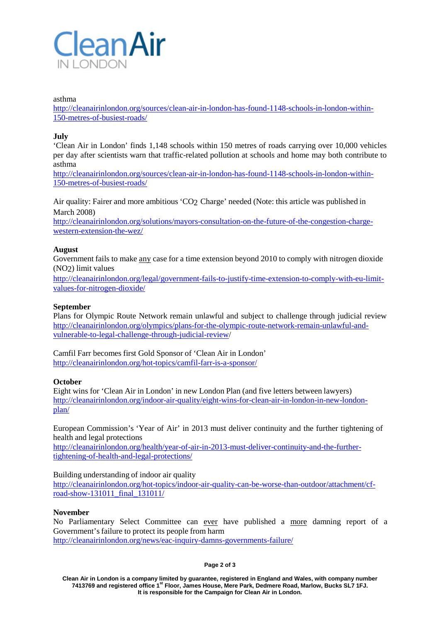

#### asthma

[http://cleanairinlondon.org/sources/clean-air-in-london-has-found-1148-schools-in-london-within-](http://cleanairinlondon.org/sources/clean-air-in-london-has-found-1148-schools-in-london-within-150-metres-of-busiest-roads/)[150-metres-of-busiest-roads/](http://cleanairinlondon.org/sources/clean-air-in-london-has-found-1148-schools-in-london-within-150-metres-of-busiest-roads/)

### **July**

'Clean Air in London' finds 1,148 schools within 150 metres of roads carrying over 10,000 vehicles per day after scientists warn that traffic-related pollution at schools and home may both contribute to asthma

[http://cleanairinlondon.org/sources/clean-air-in-london-has-found-1148-schools-in-london-within-](http://cleanairinlondon.org/sources/clean-air-in-london-has-found-1148-schools-in-london-within-150-metres-of-busiest-roads/)[150-metres-of-busiest-roads/](http://cleanairinlondon.org/sources/clean-air-in-london-has-found-1148-schools-in-london-within-150-metres-of-busiest-roads/)

Air quality: Fairer and more ambitious 'CO2 Charge' needed (Note: this article was published in March 2008)

[http://cleanairinlondon.org/solutions/mayors-consultation-on-the-future-of-the-congestion-charge](http://cleanairinlondon.org/solutions/mayors-consultation-on-the-future-of-the-congestion-charge-western-extension-the-wez/)[western-extension-the-wez/](http://cleanairinlondon.org/solutions/mayors-consultation-on-the-future-of-the-congestion-charge-western-extension-the-wez/)

#### **August**

Government fails to make any case for a time extension beyond 2010 to comply with nitrogen dioxide (NO2) limit values

[http://cleanairinlondon.org/legal/government-fails-to-justify-time-extension-to-comply-with-eu-limit](http://cleanairinlondon.org/legal/government-fails-to-justify-time-extension-to-comply-with-eu-limit-values-for-nitrogen-dioxide/)[values-for-nitrogen-dioxide/](http://cleanairinlondon.org/legal/government-fails-to-justify-time-extension-to-comply-with-eu-limit-values-for-nitrogen-dioxide/)

# **September**

Plans for Olympic Route Network remain unlawful and subject to challenge through judicial review [http://cleanairinlondon.org/olympics/plans-for-the-olympic-route-network-remain-unlawful-and](http://cleanairinlondon.org/olympics/plans-for-the-olympic-route-network-remain-unlawful-and-vulnerable-to-legal-challenge-through-judicial-review/)[vulnerable-to-legal-challenge-through-judicial-review/](http://cleanairinlondon.org/olympics/plans-for-the-olympic-route-network-remain-unlawful-and-vulnerable-to-legal-challenge-through-judicial-review/)

Camfil Farr becomes first Gold Sponsor of 'Clean Air in London' <http://cleanairinlondon.org/hot-topics/camfil-farr-is-a-sponsor/>

#### **October**

Eight wins for 'Clean Air in London' in new London Plan (and five letters between lawyers) [http://cleanairinlondon.org/indoor-air-quality/eight-wins-for-clean-air-in-london-in-new-london](http://cleanairinlondon.org/indoor-air-quality/eight-wins-for-clean-air-in-london-in-new-london-plan/)[plan/](http://cleanairinlondon.org/indoor-air-quality/eight-wins-for-clean-air-in-london-in-new-london-plan/)

European Commission's 'Year of Air' in 2013 must deliver continuity and the further tightening of health and legal protections

[http://cleanairinlondon.org/health/year-of-air-in-2013-must-deliver-continuity-and-the-further](http://cleanairinlondon.org/health/year-of-air-in-2013-must-deliver-continuity-and-the-further-tightening-of-health-and-legal-protections/)[tightening-of-health-and-legal-protections/](http://cleanairinlondon.org/health/year-of-air-in-2013-must-deliver-continuity-and-the-further-tightening-of-health-and-legal-protections/)

#### Building understanding of indoor air quality

[http://cleanairinlondon.org/hot-topics/indoor-air-quality-can-be-worse-than-outdoor/attachment/cf](http://cleanairinlondon.org/hot-topics/indoor-air-quality-can-be-worse-than-outdoor/attachment/cf-road-show-131011_final_131011/)[road-show-131011\\_final\\_131011/](http://cleanairinlondon.org/hot-topics/indoor-air-quality-can-be-worse-than-outdoor/attachment/cf-road-show-131011_final_131011/)

#### **November**

No Parliamentary Select Committee can ever have published a more damning report of a Government's failure to protect its people from harm <http://cleanairinlondon.org/news/eac-inquiry-damns-governments-failure/>

#### **Page 2 of 3**

**Clean Air in London is a company limited by guarantee, registered in England and Wales, with company number 7413769 and registered office 1st Floor, James House, Mere Park, Dedmere Road, Marlow, Bucks SL7 1FJ. It is responsible for the Campaign for Clean Air in London.**